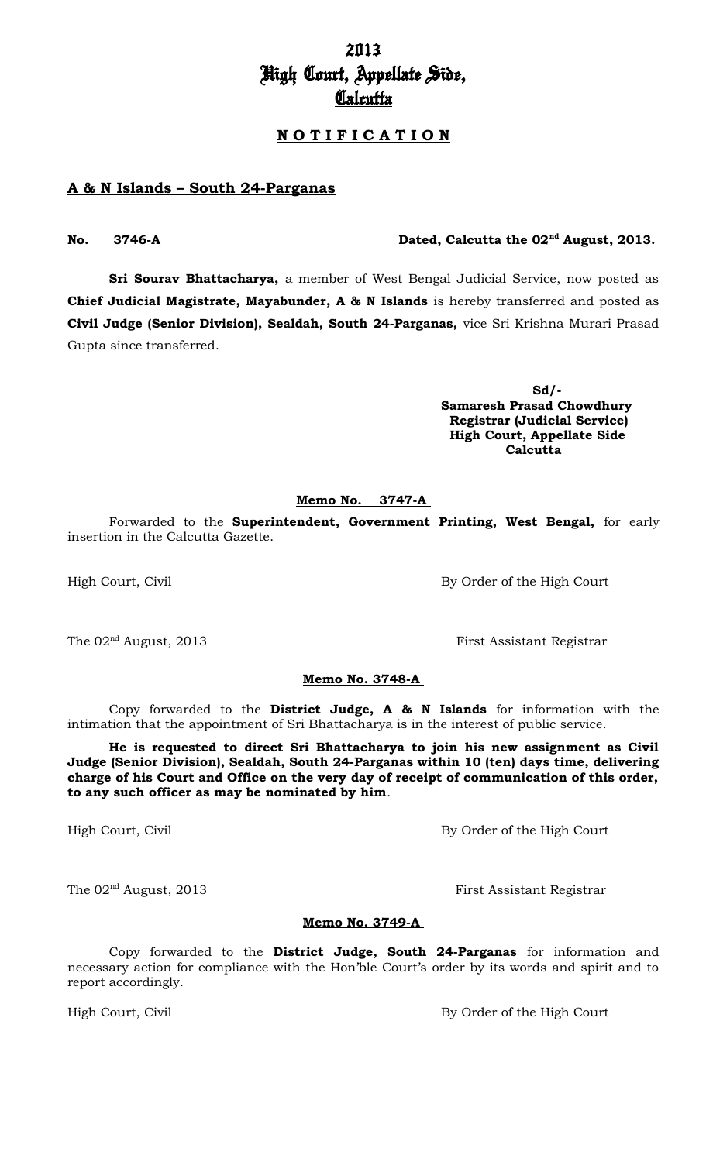# 2013 High Court, Appellate Side, **Calcutta**

#### **N O T I F I C A T I O N**

#### **A & N Islands – South 24-Parganas**

**Sri Sourav Bhattacharya,** a member of West Bengal Judicial Service, now posted as **Chief Judicial Magistrate, Mayabunder, A & N Islands** is hereby transferred and posted as **Civil Judge (Senior Division), Sealdah, South 24-Parganas,** vice Sri Krishna Murari Prasad Gupta since transferred.

> **Sd/- Samaresh Prasad Chowdhury Registrar (Judicial Service) High Court, Appellate Side Calcutta**

#### **Memo No. 3747-A**

Forwarded to the **Superintendent, Government Printing, West Bengal,** for early insertion in the Calcutta Gazette.

**Memo No. 3748-A** 

Copy forwarded to the **District Judge, A & N Islands** for information with the intimation that the appointment of Sri Bhattacharya is in the interest of public service.

**He is requested to direct Sri Bhattacharya to join his new assignment as Civil Judge (Senior Division), Sealdah, South 24-Parganas within 10 (ten) days time, delivering charge of his Court and Office on the very day of receipt of communication of this order, to any such officer as may be nominated by him**.

High Court, Civil By Order of the High Court

The 02<sup>nd</sup> August, 2013 First Assistant Registrar

#### **Memo No. 3749-A**

Copy forwarded to the **District Judge, South 24-Parganas** for information and necessary action for compliance with the Hon'ble Court's order by its words and spirit and to report accordingly.

High Court, Civil By Order of the High Court

The 02<sup>nd</sup> August, 2013 **First Assistant Registrar** 

# High Court, Civil By Order of the High Court

## **No. 3746-A Dated, Calcutta the 02nd August, 2013.**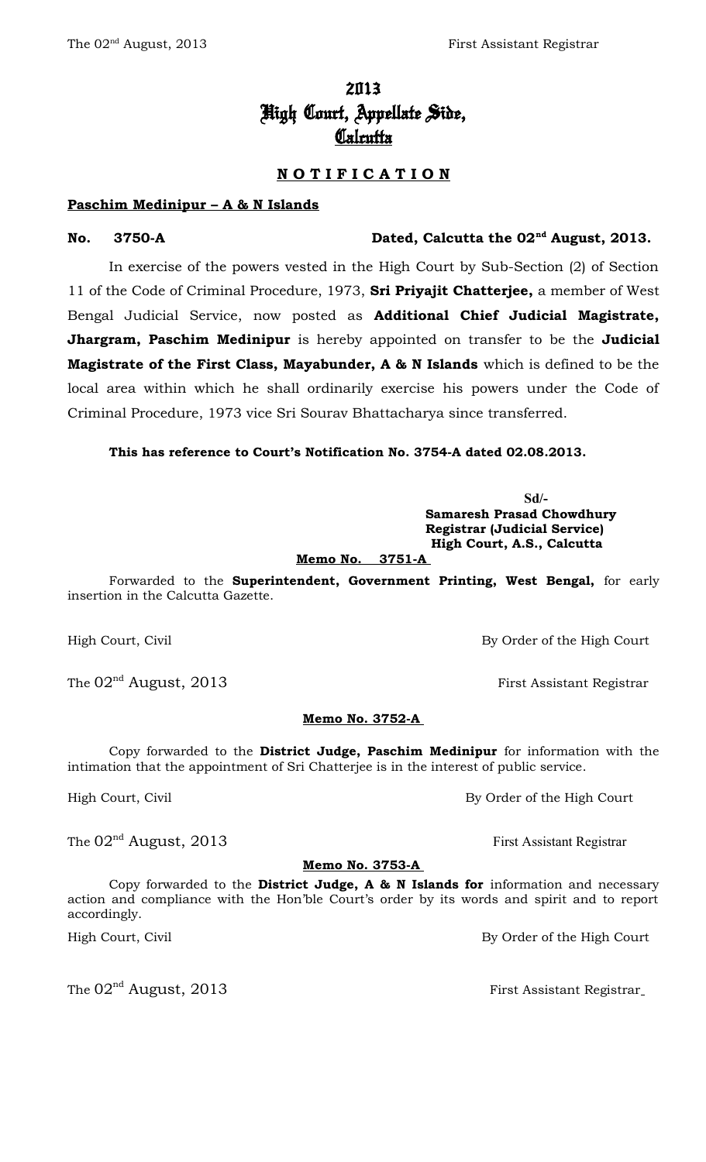# 2013 High Court, Appellate Side,

# <u>Calcutta</u>

## **N O T I F I C A T I O N**

#### **Paschim Medinipur – A & N Islands**

**No. 3750-A Dated, Calcutta the 02nd August, 2013.**

In exercise of the powers vested in the High Court by Sub-Section (2) of Section 11 of the Code of Criminal Procedure, 1973, **Sri Priyajit Chatterjee,** a member of West Bengal Judicial Service, now posted as **Additional Chief Judicial Magistrate, Jhargram, Paschim Medinipur** is hereby appointed on transfer to be the **Judicial Magistrate of the First Class, Mayabunder, A & N Islands** which is defined to be the local area within which he shall ordinarily exercise his powers under the Code of Criminal Procedure, 1973 vice Sri Sourav Bhattacharya since transferred.

**This has reference to Court's Notification No. 3754-A dated 02.08.2013.**

**Sd/- Samaresh Prasad Chowdhury Registrar (Judicial Service) High Court, A.S., Calcutta**

 **Memo No. 3751-A**

Forwarded to the **Superintendent, Government Printing, West Bengal,** for early insertion in the Calcutta Gazette.

High Court, Civil By Order of the High Court

The  $02<sup>nd</sup>$  August, 2013 First Assistant Registrar

#### **Memo No. 3752-A**

Copy forwarded to the **District Judge, Paschim Medinipur** for information with the intimation that the appointment of Sri Chatterjee is in the interest of public service.

High Court, Civil By Order of the High Court

The  $02<sup>nd</sup>$  August, 2013 First Assistant Registrar

#### **Memo No. 3753-A**

Copy forwarded to the **District Judge, A & N Islands for** information and necessary action and compliance with the Hon'ble Court's order by its words and spirit and to report accordingly.

High Court, Civil By Order of the High Court

The  $02<sup>nd</sup>$  August, 2013 First Assistant Registrar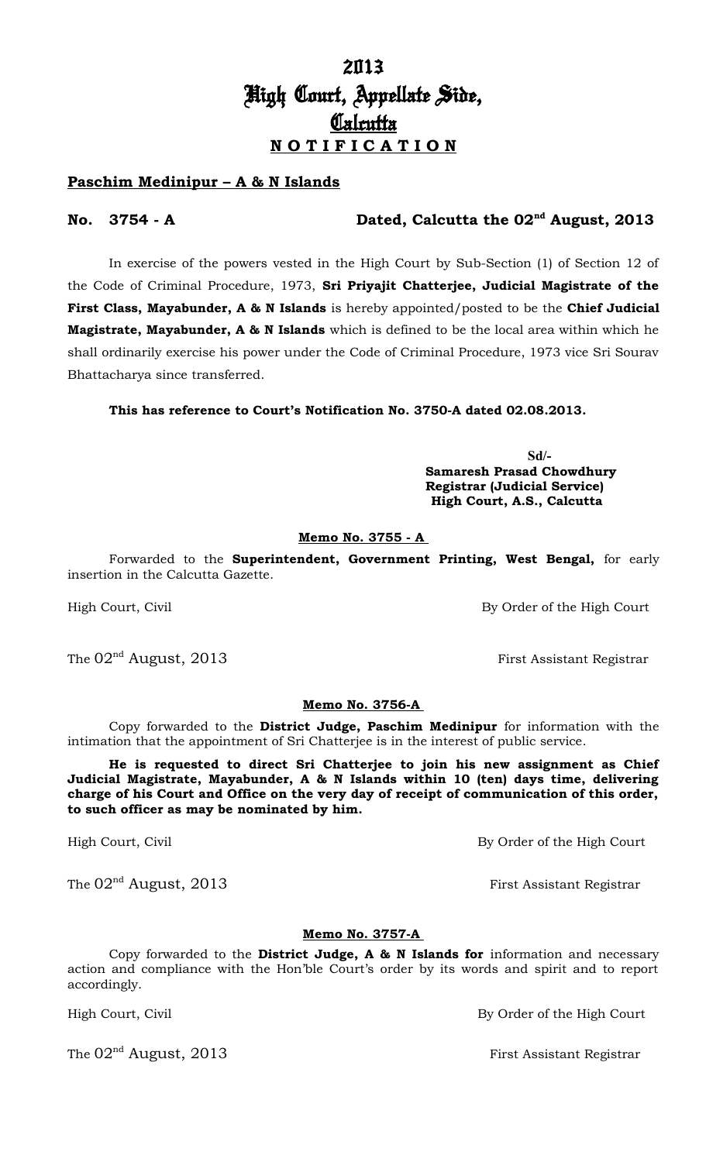# 2013 High Court, Appellate Side, **Calcutta N O T I F I C A T I O N**

#### **Paschim Medinipur – A & N Islands**

#### **No. 3754 - A Dated, Calcutta the 02nd August, 2013**

In exercise of the powers vested in the High Court by Sub-Section (1) of Section 12 of the Code of Criminal Procedure, 1973, **Sri Priyajit Chatterjee, Judicial Magistrate of the First Class, Mayabunder, A & N Islands** is hereby appointed/posted to be the **Chief Judicial Magistrate, Mayabunder, A & N Islands** which is defined to be the local area within which he shall ordinarily exercise his power under the Code of Criminal Procedure, 1973 vice Sri Sourav Bhattacharya since transferred.

**This has reference to Court's Notification No. 3750-A dated 02.08.2013.**

 **Sd/- Samaresh Prasad Chowdhury Registrar (Judicial Service) High Court, A.S., Calcutta**

#### **Memo No. 3755 - A**

Forwarded to the **Superintendent, Government Printing, West Bengal,** for early insertion in the Calcutta Gazette.

High Court, Civil By Order of the High Court

The  $02^{\text{nd}}$  August,  $2013$  First Assistant Registrar

#### **Memo No. 3756-A**

Copy forwarded to the **District Judge, Paschim Medinipur** for information with the intimation that the appointment of Sri Chatterjee is in the interest of public service.

**He is requested to direct Sri Chatterjee to join his new assignment as Chief Judicial Magistrate, Mayabunder, A & N Islands within 10 (ten) days time, delivering charge of his Court and Office on the very day of receipt of communication of this order, to such officer as may be nominated by him.**

High Court, Civil By Order of the High Court

The  $02^{\text{nd}}$  August, 2013 **First Assistant Registrar** 

Copy forwarded to the **District Judge, A & N Islands for** information and necessary action and compliance with the Hon'ble Court's order by its words and spirit and to report accordingly.

The  $02<sup>nd</sup>$  August, 2013 First Assistant Registrar

# **Memo No. 3757-A**

High Court, Civil **By Order of the High Court**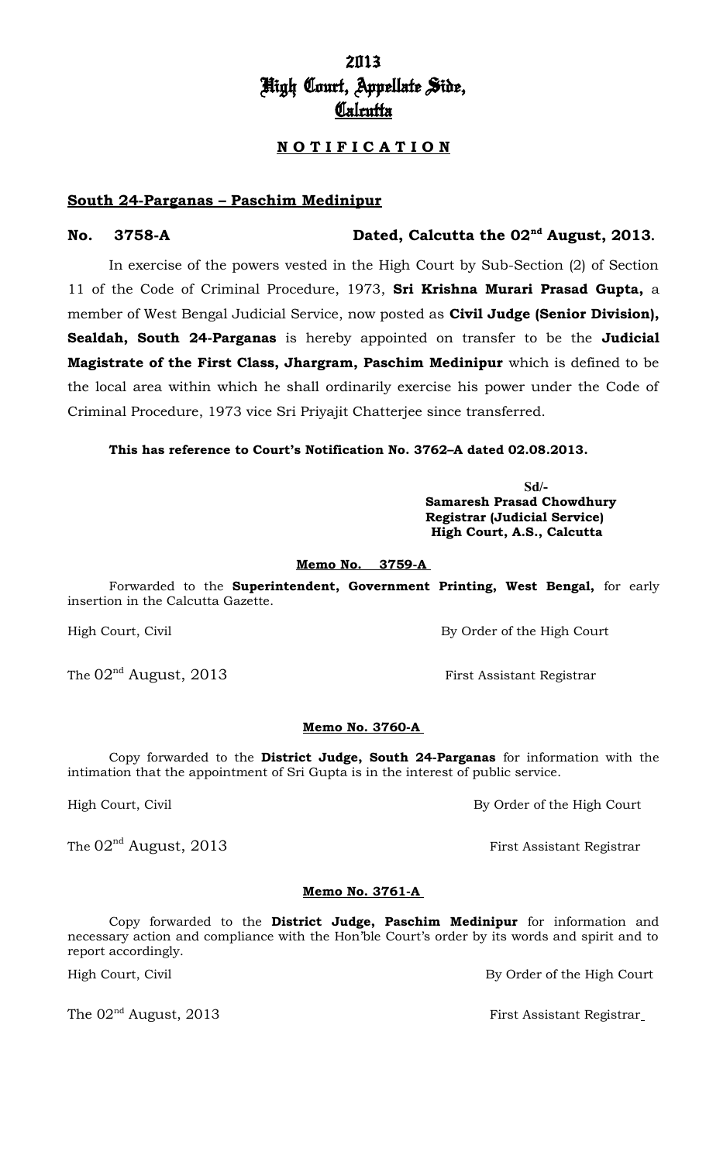## 2013 High Court, Appellate Side, **Calcutta**

## **N O T I F I C A T I O N**

#### **South 24-Parganas – Paschim Medinipur**

#### **No. 3758-A Dated, Calcutta the 02nd August, 2013.**

In exercise of the powers vested in the High Court by Sub-Section (2) of Section 11 of the Code of Criminal Procedure, 1973, **Sri Krishna Murari Prasad Gupta,** a member of West Bengal Judicial Service, now posted as **Civil Judge (Senior Division), Sealdah, South 24-Parganas** is hereby appointed on transfer to be the **Judicial Magistrate of the First Class, Jhargram, Paschim Medinipur** which is defined to be the local area within which he shall ordinarily exercise his power under the Code of Criminal Procedure, 1973 vice Sri Priyajit Chatterjee since transferred.

**This has reference to Court's Notification No. 3762–A dated 02.08.2013.**

**Sd/- Samaresh Prasad Chowdhury Registrar (Judicial Service) High Court, A.S., Calcutta**

#### **Memo No. 3759-A**

Forwarded to the **Superintendent, Government Printing, West Bengal,** for early insertion in the Calcutta Gazette.

High Court, Civil By Order of the High Court

#### **Memo No. 3760-A**

Copy forwarded to the **District Judge, South 24-Parganas** for information with the intimation that the appointment of Sri Gupta is in the interest of public service.

High Court, Civil By Order of the High Court

#### **Memo No. 3761-A**

Copy forwarded to the **District Judge, Paschim Medinipur** for information and necessary action and compliance with the Hon'ble Court's order by its words and spirit and to report accordingly.

The 02<sup>nd</sup> August, 2013 **First Assistant Registrar** 

The  $02^{\text{nd}}$  August,  $2013$  First Assistant Registrar

The  $02<sup>nd</sup>$  August,  $2013$  First Assistant Registrar

High Court, Civil By Order of the High Court